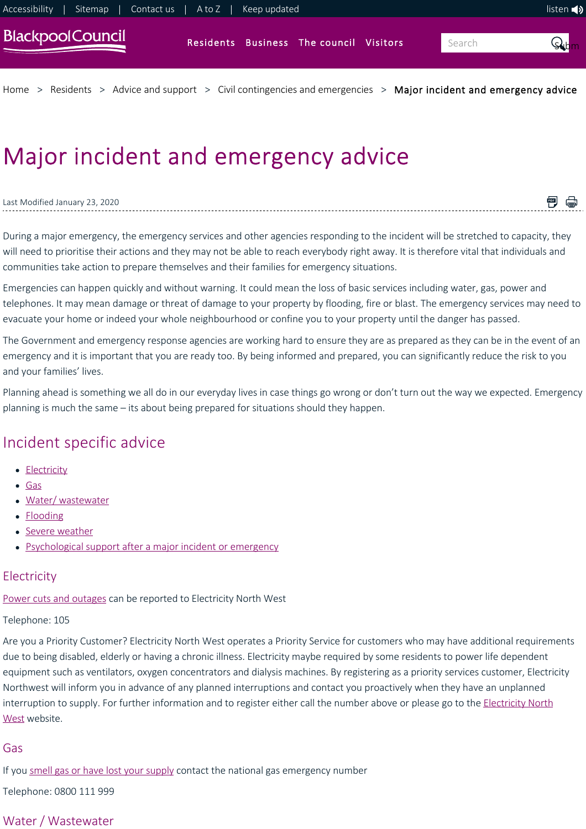

[Home](https://www.blackpool.gov.uk/Home.aspx) > [Residents](https://www.blackpool.gov.uk/Residents/Residents.aspx) > [Advice and support](https://www.blackpool.gov.uk/Residents/Advice-and-support/Advice-and-support.aspx) > [Civil contingencies and emergencies](https://www.blackpool.gov.uk/Residents/Advice-and-support/Civil-contingencies-and-emergencies/Civil-contingencies-and-emergencies.aspx) > [Major incident and emergency advice](https://www.blackpool.gov.uk/Residents/Advice-and-support/Civil-contingencies-and-emergencies/Major-incident-and-emergency-advice.aspx)

# Major incident and emergency advice

#### Last Modified January 23, 2020

During a major emergency, the emergency services and other agencies responding to the incident will be stretched to capacity, they will need to prioritise their actions and they may not be able to reach everybody right away. It is therefore vital that individuals and communities take action to prepare themselves and their families for emergency situations.

■ ●

Emergencies can happen quickly and without warning. It could mean the loss of basic services including water, gas, power and telephones. It may mean damage or threat of damage to your property by flooding, fire or blast. The emergency services may need to evacuate your home or indeed your whole neighbourhood or confine you to your property until the danger has passed.

The Government and emergency response agencies are working hard to ensure they are as prepared as they can be in the event of an emergency and it is important that you are ready too. By being informed and prepared, you can significantly reduce the risk to you and your families' lives.

Planning ahead is something we all do in our everyday lives in case things go wrong or don't turn out the way we expected. Emergency planning is much the same – its about being prepared for situations should they happen.

# Incident specific advice

- [Electricity](#page-0-0)
- [Gas](#page-0-1)
- Water/wastewater
- [Flooding](#page-1-0)
- [Severe weather](#page-1-1)
- [Psychological support after a major incident or emergency](#page-1-2)

### <span id="page-0-0"></span>**Electricity**

[Power cuts and outages](https://www.enwl.co.uk/power-cuts) can be reported to Electricity North West

### Telephone: 105

Are you a Priority Customer? Electricity North West operates a Priority Service for customers who may have additional requirements due to being disabled, elderly or having a chronic illness. Electricity maybe required by some residents to power life dependent equipment such as ventilators, oxygen concentrators and dialysis machines. By registering as a priority services customer, Electricity Northwest will inform you in advance of any planned interruptions and contact you proactively when they have an unplanned interruption to supply. For further information and to register either call the number above or please go to the **Electricity North** West website.

#### <span id="page-0-1"></span>Gas

If you [smell gas or have lost your supply](https://www.nationalgrid.com/uk/safety-and-emergencies/gas-emergencies-and-safety-advice) contact the national gas emergency number

Telephone: 0800 111 999

## <span id="page-0-2"></span>Water / Wastewater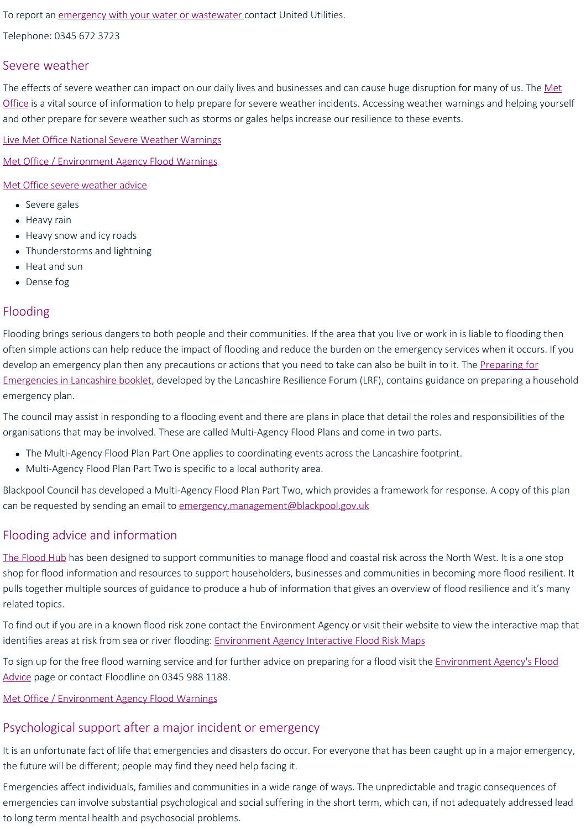To report an [emergency with your water or wastewater](https://www.unitedutilities.com/emergencies/) contact United Utilities.

Telephone: 0345 672 3723

### <span id="page-1-1"></span>Severe weather

[The effects of severe weather can impact on our daily lives and businesses and can cause huge disruption for many of us. The Met](http://www.metoffice.gov.uk/) Office is a vital source of information to help prepare for severe weather incidents. Accessing weather warnings and helping yourself and other prepare for severe weather such as storms or gales helps increase our resilience to these events.

[Live Met Office National Severe Weather Warnings](https://www.metoffice.gov.uk/public/weather/warnings#?date=2018-04-05)

[Met Office / Environment Agency Flood Warnings](http://www.metoffice.gov.uk/public/weather/flood-warnings/#?tab=floodWarnings)

[Met Office severe weather advice](https://www.metoffice.gov.uk/guide/weather/severe-weather-advice)

- Severe gales
- Heavy rain
- Heavy snow and icy roads
- Thunderstorms and lightning
- Heat and sun
- Dense fog

### <span id="page-1-0"></span>Flooding

Flooding brings serious dangers to both people and their communities. If the area that you live or work in is liable to flooding then often simple actions can help reduce the impact of flooding and reduce the burden on the emergency services when it occurs. If you [develop an emergency plan then any precautions or actions that you need to take can also be built in to it. The Preparing for](https://www.stayintheknow.co.uk/Documents/PreparingForEmergenciesBooklet.pdf) Emergencies in Lancashire booklet, developed by the Lancashire Resilience Forum (LRF), contains guidance on preparing a household emergency plan.

The council may assist in responding to a flooding event and there are plans in place that detail the roles and responsibilities of the organisations that may be involved. These are called Multi‐Agency Flood Plans and come in two parts.

- The Multi-Agency Flood Plan Part One applies to coordinating events across the Lancashire footprint.
- Multi-Agency Flood Plan Part Two is specific to a local authority area.

Blackpool Council has developed a Multi‐Agency Flood Plan Part Two, which provides a framework for response. A copy of this plan can be requested by sending an email to [emergency.management@blackpool.gov.uk](mailto:emergency.management@blackpool.gov.uk)

## Flooding advice and information

[The Flood Hub](https://thefloodhub.co.uk/) has been designed to support communities to manage flood and coastal risk across the North West. It is a one stop shop for flood information and resources to support householders, businesses and communities in becoming more flood resilient. It pulls together multiple sources of guidance to produce a hub of information that gives an overview of flood resilience and it's many related topics.

To find out if you are in a known flood risk zone contact the Environment Agency or visit their website to view the interactive map that identifies areas at risk from sea or river flooding: [Environment Agency Interactive Flood Risk Maps](https://flood-map-for-planning.service.gov.uk/)

To sign up for the free flood warning service and for further advice on preparing for a flood visit the *Environment Agency's Flood* Advice page or contact Floodline on 0345 988 1188.

#### [Met Office / Environment Agency Flood Warnings](http://www.metoffice.gov.uk/public/weather/flood-warnings/#?tab=floodWarnings)

### <span id="page-1-2"></span>Psychological support after a major incident or emergency

It is an unfortunate fact of life that emergencies and disasters do occur. For everyone that has been caught up in a major emergency, the future will be different; people may find they need help facing it.

Emergencies affect individuals, families and communities in a wide range of ways. The unpredictable and tragic consequences of emergencies can involve substantial psychological and social suffering in the short term, which can, if not adequately addressed lead to long term mental health and psychosocial problems.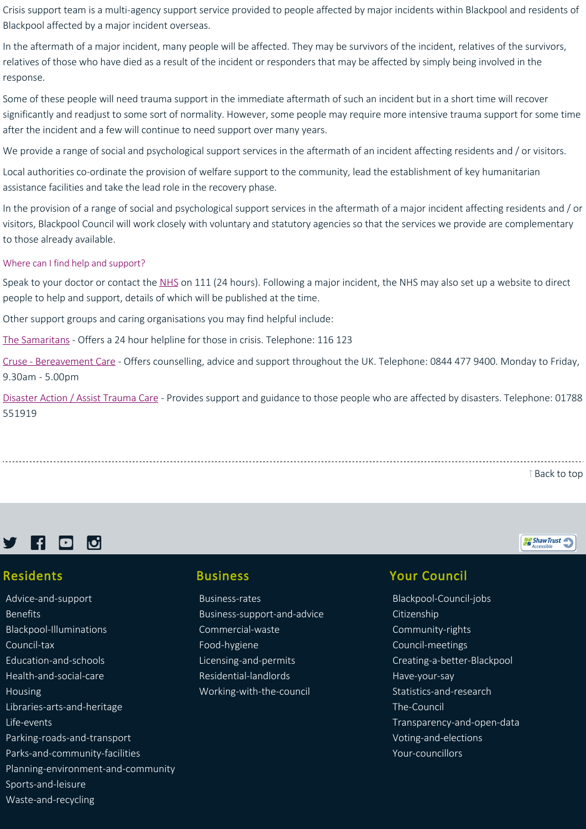Crisis support team is a multi-agency support service provided to people affected by major incidents within Blackpool and residents of Blackpool affected by a major incident overseas.

In the aftermath of a major incident, many people will be affected. They may be survivors of the incident, relatives of the survivors, relatives of those who have died as a result of the incident or responders that may be affected by simply being involved in the response.

Some of these people will need trauma support in the immediate aftermath of such an incident but in a short time will recover significantly and readjust to some sort of normality. However, some people may require more intensive trauma support for some time after the incident and a few will continue to need support over many years.

We provide a range of social and psychological support services in the aftermath of an incident affecting residents and / or visitors.

Local authorities co-ordinate the provision of welfare support to the community, lead the establishment of key humanitarian assistance facilities and take the lead role in the recovery phase.

In the provision of a range of social and psychological support services in the aftermath of a major incident affecting residents and / or visitors, Blackpool Council will work closely with voluntary and statutory agencies so that the services we provide are complementary to those already available.

#### Where can I find help and support?

Speak to your doctor or contact the [NHS](https://www.nhs.uk/NHSEngland/AboutNHSservices/Emergencyandurgentcareservices/Pages/NHS-111.aspx) on 111 (24 hours). Following a major incident, the NHS may also set up a website to direct people to help and support, details of which will be published at the time.

Other support groups and caring organisations you may find helpful include:

[The Samaritans](http://www.samaritans.org.uk/) - Offers a 24 hour helpline for those in crisis. Telephone: 116 123

[Cruse ‐ Bereavement Care](http://www.crusebereavementcare.org.uk/) ‐ Offers counselling, advice and support throughout the UK. Telephone: 0844 477 9400. Monday to Friday, 9.30am ‐ 5.00pm

[Disaster Action / Assist Trauma Care](http://www.disasteraction.org.uk/) ‐ Provides support and guidance to those people who are affected by disasters. Telephone: 01788 551919

[Back to top](https://www.blackpool.gov.uk/Residents/Advice-and-support/Civil-contingencies-and-emergencies/Major-incident-and-emergency-advice.aspx#)

ShawTrust



#### Residents

[Advice‐and‐support](https://www.blackpool.gov.uk/Residents/Advice-and-support/) [Benefits](https://www.blackpool.gov.uk/Residents/Benefits/) [Blackpool‐Illuminations](https://www.blackpool.gov.uk/Residents/Blackpool-Illuminations/) [Council‐tax](https://www.blackpool.gov.uk/Residents/Council-tax/) [Education‐and‐schools](https://www.blackpool.gov.uk/Residents/Education-and-schools/) [Health‐and‐social‐care](https://www.blackpool.gov.uk/Residents/Health-and-social-care/) [Housing](https://www.blackpool.gov.uk/Residents/Housing/) [Libraries‐arts‐and‐heritage](https://www.blackpool.gov.uk/Residents/Libraries-arts-and-heritage/) [Life‐events](https://www.blackpool.gov.uk/Residents/Life-events/) [Parking‐roads‐and‐transport](https://www.blackpool.gov.uk/Residents/Parking-roads-and-transport/) [Parks‐and‐community‐facilities](https://www.blackpool.gov.uk/Residents/Parks-and-community-facilities/) [Planning‐environment‐and‐community](https://www.blackpool.gov.uk/Residents/Planning-environment-and-community/) [Sports‐and‐leisure](https://www.blackpool.gov.uk/Residents/Sports-and-leisure/) [Waste‐and‐recycling](https://www.blackpool.gov.uk/Residents/Waste-and-recycling/)

#### Business

[Business‐rates](https://www.blackpool.gov.uk/Business/Business-rates/) [Business‐support‐and‐advice](https://www.blackpool.gov.uk/Business/Business-support-and-advice/) [Commercial‐waste](https://www.blackpool.gov.uk/Business/Commercial-waste/) [Food‐hygiene](https://www.blackpool.gov.uk/Business/Food-hygiene/) [Licensing‐and‐permits](https://www.blackpool.gov.uk/Business/Licensing-and-permits/) [Residential‐landlords](https://www.blackpool.gov.uk/Business/Residential-landlords/) [Working‐with‐the‐council](https://www.blackpool.gov.uk/Business/Working-with-the-council/)

## Your Council

[Blackpool‐Council‐jobs](https://www.blackpool.gov.uk/Your-Council/Blackpool-Council-jobs/) [Citizenship](https://www.blackpool.gov.uk/Your-Council/Citizenship/) [Community‐rights](https://www.blackpool.gov.uk/Your-Council/Community-rights/) [Council‐meetings](https://www.blackpool.gov.uk/Your-Council/Council-meetings/) [Creating‐a‐better‐Blackpool](https://www.blackpool.gov.uk/Your-Council/Creating-a-better-Blackpool/) [Have‐your‐say](https://www.blackpool.gov.uk/Your-Council/Have-your-say/) [Statistics‐and‐research](https://www.blackpool.gov.uk/Your-Council/Statistics-and-research/) [The‐Council](https://www.blackpool.gov.uk/Your-Council/The-Council/) [Transparency‐and‐open‐data](https://www.blackpool.gov.uk/Your-Council/Transparency-and-open-data/) [Voting‐and‐elections](https://www.blackpool.gov.uk/Your-Council/Voting-and-elections/) [Your‐councillors](https://www.blackpool.gov.uk/Your-Council/Your-councillors/)